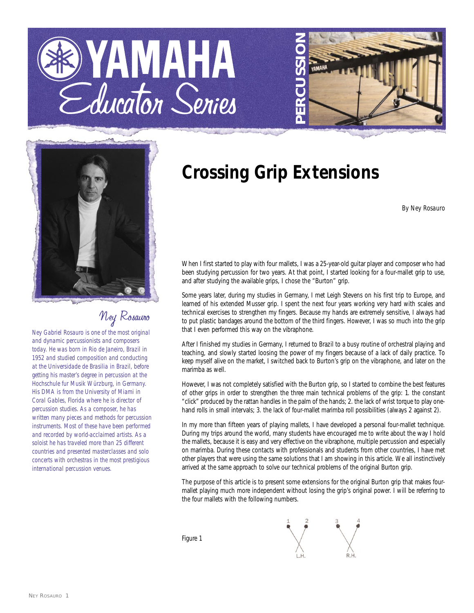# YAMAHA Educator Series





### Ney Rosauro

*Ney Gabriel Rosauro is one of the most original and dynamic percussionists and composers today. He was born in Rio de Janeiro, Brazil in 1952 and studied composition and conducting at the Universidade de Brasilia in Brazil, before getting his master's degree in percussion at the Hochschule fur Musik Würzburg, in Germany. His DMA is from the University of Miami in Coral Gables, Florida where he is director of percussion studies. As a composer, he has written many pieces and methods for percussion instruments. Most of these have been performed and recorded by world-acclaimed artists. As a soloist he has traveled more than 25 different countries and presented masterclasses and solo concerts with orchestras in the most prestigious international percussion venues.*

## **Crossing Grip Extensions**

*By Ney Rosauro*

When I first started to play with four mallets, I was a 25-year-old guitar player and composer who had been studying percussion for two years. At that point, I started looking for a four-mallet grip to use, and after studying the available grips, I chose the "Burton" grip.

Some years later, during my studies in Germany, I met Leigh Stevens on his first trip to Europe, and learned of his extended Musser grip. I spent the next four years working very hard with scales and technical exercises to strengthen my fingers. Because my hands are extremely sensitive, I always had to put plastic bandages around the bottom of the third fingers. However, I was so much into the grip that I even performed this way on the vibraphone.

After I finished my studies in Germany, I returned to Brazil to a busy routine of orchestral playing and teaching, and slowly started loosing the power of my fingers because of a lack of daily practice. To keep myself alive on the market, I switched back to Burton's grip on the vibraphone, and later on the marimba as well.

However, I was not completely satisfied with the Burton grip, so I started to combine the best features of other grips in order to strengthen the three main technical problems of the grip: 1. the constant "click" produced by the rattan handles in the palm of the hands; 2. the lack of wrist torque to play onehand rolls in small intervals; 3. the lack of four-mallet marimba roll possibilities (always 2 against 2).

In my more than fifteen years of playing mallets, I have developed a personal four-mallet technique. During my trips around the world, many students have encouraged me to write about the way I hold the mallets, because it is easy and very effective on the vibraphone, multiple percussion and especially on marimba. During these contacts with professionals and students from other countries, I have met other players that were using the same solutions that I am showing in this article. We all instinctively arrived at the same approach to solve our technical problems of the original Burton grip.

The purpose of this article is to present some extensions for the original Burton grip that makes fourmallet playing much more independent without losing the grip's original power. I will be referring to the four mallets with the following numbers.

Figure 1

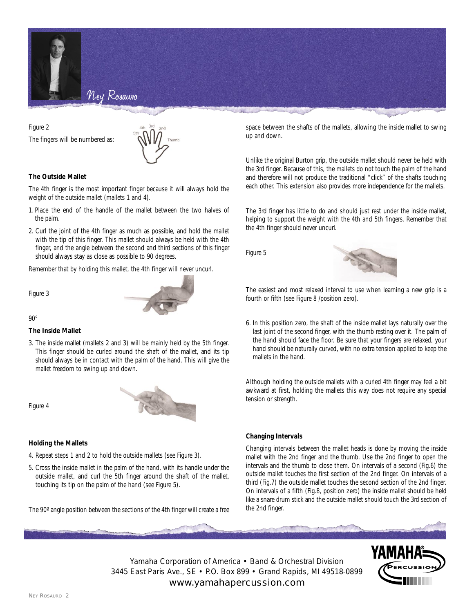

Figure 2 The fingers will be numbered as:



#### **The Outside Mallet**

The 4th finger is the most important finger because it will always hold the weight of the outside mallet (mallets 1 and 4).

- 1. Place the end of the handle of the mallet between the two halves of the palm.
- 2. Curl the joint of the 4th finger as much as possible, and hold the mallet with the tip of this finger. This mallet should always be held with the 4th finger, and the angle between the second and third sections of this finger should always stay as close as possible to 90 degrees.

Remember that by holding this mallet, the 4th finger will never uncurl.

Figure 3



 $90^\circ$ 

#### **The Inside Mallet**

3. The inside mallet (mallets 2 and 3) will be mainly held by the 5th finger. This finger should be curled around the shaft of the mallet, and its tip should always be in contact with the palm of the hand. This will give the mallet freedom to swing up and down.

Figure 4



#### **Holding the Mallets**

- 4. Repeat steps 1 and 2 to hold the outside mallets (see Figure 3).
- 5. Cross the inside mallet in the palm of the hand, with its handle under the outside mallet, and curl the 5th finger around the shaft of the mallet, touching its tip on the palm of the hand (see Figure 5).

The 90º angle position between the sections of the 4th finger will create a free

space between the shafts of the mallets, allowing the inside mallet to swing up and down.

Unlike the original Burton grip, the outside mallet should never be held with the 3rd finger. Because of this, the mallets do not touch the palm of the hand and therefore will not produce the traditional "click" of the shafts touching each other. This extension also provides more independence for the mallets.

The 3rd finger has little to do and should just rest under the inside mallet, helping to support the weight with the 4th and 5th fingers. Remember that the 4th finger should never uncurl.

Figure 5



The easiest and most relaxed interval to use when learning a new grip is a fourth or fifth (see Figure 8 /position zero).

6. In this position zero, the shaft of the inside mallet lays naturally over the last joint of the second finger, with the thumb resting over it. The palm of the hand should face the floor. Be sure that your fingers are relaxed, your hand should be naturally curved, with no extra tension applied to keep the mallets in the hand.

Although holding the outside mallets with a curled 4th finger may feel a bit awkward at first, holding the mallets this way does not require any special tension or strength.

#### **Changing Intervals**

Changing intervals between the mallet heads is done by moving the inside mallet with the 2nd finger and the thumb. Use the 2nd finger to open the intervals and the thumb to close them. On intervals of a second (Fig.6) the outside mallet touches the first section of the 2nd finger. On intervals of a third (Fig.7) the outside mallet touches the second section of the 2nd finger. On intervals of a fifth (Fig.8, position zero) the inside mallet should be held like a snare drum stick and the outside mallet should touch the 3rd section of the 2nd finger.

Yamaha Corporation of America • Band & Orchestral Division 3445 East Paris Ave., SE • P.O. Box 899 • Grand Rapids, MI 49518-0899 www.yamahapercussion.com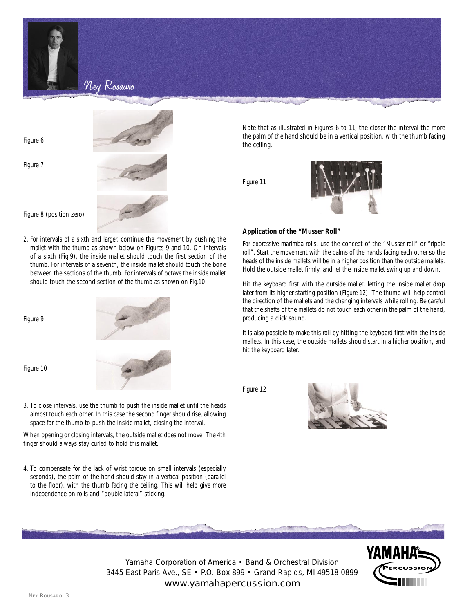

Figure 6

Figure 7



Figure 8 (position zero)

2. For intervals of a sixth and larger, continue the movement by pushing the mallet with the thumb as shown below on Figures 9 and 10. On intervals of a sixth (Fig.9), the inside mallet should touch the first section of the thumb. For intervals of a seventh, the inside mallet should touch the bone between the sections of the thumb. For intervals of octave the inside mallet should touch the second section of the thumb as shown on Fig.10

Figure 9

Figure 10

3. To close intervals, use the thumb to push the inside mallet until the heads almost touch each other. In this case the second finger should rise, allowing space for the thumb to push the inside mallet, closing the interval.

When opening or closing intervals, the outside mallet does not move. The 4th finger should always stay curled to hold this mallet.

4. To compensate for the lack of wrist torque on small intervals (especially seconds), the palm of the hand should stay in a vertical position (parallel to the floor), with the thumb facing the ceiling. This will help give more independence on rolls and "double lateral" sticking.

Note that as illustrated in Figures 6 to 11, the closer the interval the more the palm of the hand should be in a vertical position, with the thumb facing the ceiling.

Figure 11



#### **Application of the "Musser Roll"**

For expressive marimba rolls, use the concept of the "Musser roll" or "ripple roll". Start the movement with the palms of the hands facing each other so the heads of the inside mallets will be in a higher position than the outside mallets. Hold the outside mallet firmly, and let the inside mallet swing up and down.

Hit the keyboard first with the outside mallet, letting the inside mallet drop later from its higher starting position (Figure 12). The thumb will help control the direction of the mallets and the changing intervals while rolling. Be careful that the shafts of the mallets do not touch each other in the palm of the hand, producing a click sound.

It is also possible to make this roll by hitting the keyboard first with the inside mallets. In this case, the outside mallets should start in a higher position, and hit the keyboard later.

Figure 12